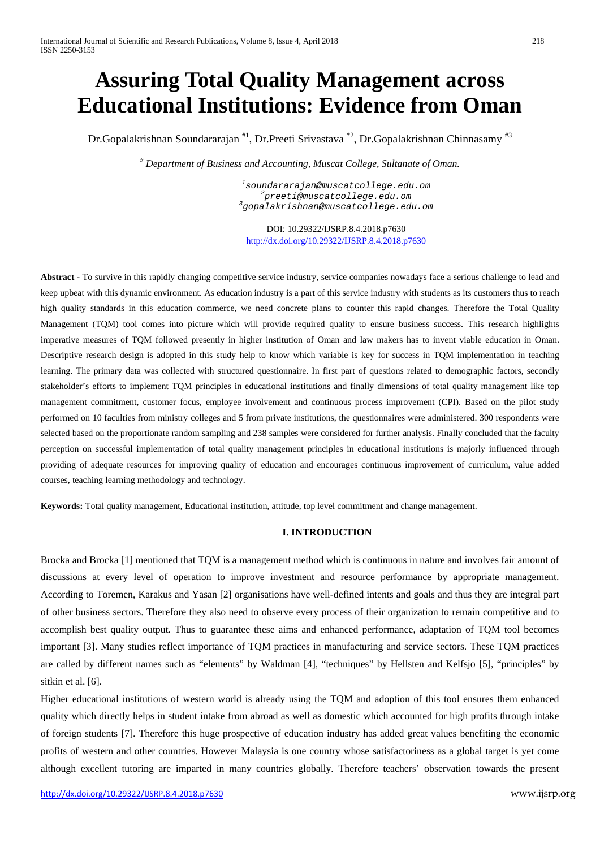# **Assuring Total Quality Management across Educational Institutions: Evidence from Oman**

Dr.Gopalakrishnan Soundararajan <sup>#1</sup>, Dr.Preeti Srivastava <sup>\*2</sup>, Dr.Gopalakrishnan Chinnasamy <sup>#3</sup>

*# Department of Business and Accounting, Muscat College, Sultanate of Oman.*

*1 [soundararajan@muscatcollege.edu.om](mailto:soundararajan@muscatcollege.edu.om) <sup>2</sup> [preeti@muscatcollege.edu.om](mailto:preeti@muscatcollege.edu.om) <sup>3</sup> [gopalakrishnan@muscatcollege.edu.om](mailto:gopalakrishnan@muscatcollege.edu.om)*

DOI: 10.29322/IJSRP.8.4.2018.p7630 <http://dx.doi.org/10.29322/IJSRP.8.4.2018.p7630>

**Abstract -** To survive in this rapidly changing competitive service industry, service companies nowadays face a serious challenge to lead and keep upbeat with this dynamic environment. As education industry is a part of this service industry with students as its customers thus to reach high quality standards in this education commerce, we need concrete plans to counter this rapid changes. Therefore the Total Quality Management (TQM) tool comes into picture which will provide required quality to ensure business success. This research highlights imperative measures of TQM followed presently in higher institution of Oman and law makers has to invent viable education in Oman. Descriptive research design is adopted in this study help to know which variable is key for success in TQM implementation in teaching learning. The primary data was collected with structured questionnaire. In first part of questions related to demographic factors, secondly stakeholder's efforts to implement TQM principles in educational institutions and finally dimensions of total quality management like top management commitment, customer focus, employee involvement and continuous process improvement (CPI). Based on the pilot study performed on 10 faculties from ministry colleges and 5 from private institutions, the questionnaires were administered. 300 respondents were selected based on the proportionate random sampling and 238 samples were considered for further analysis. Finally concluded that the faculty perception on successful implementation of total quality management principles in educational institutions is majorly influenced through providing of adequate resources for improving quality of education and encourages continuous improvement of curriculum, value added courses, teaching learning methodology and technology.

**Keywords:** Total quality management, Educational institution, attitude, top level commitment and change management.

# **I. INTRODUCTION**

Brocka and Brocka [1] mentioned that TQM is a management method which is continuous in nature and involves fair amount of discussions at every level of operation to improve investment and resource performance by appropriate management. According to Toremen, Karakus and Yasan [2] organisations have well-defined intents and goals and thus they are integral part of other business sectors. Therefore they also need to observe every process of their organization to remain competitive and to accomplish best quality output. Thus to guarantee these aims and enhanced performance, adaptation of TQM tool becomes important [3]. Many studies reflect importance of TQM practices in manufacturing and service sectors. These TQM practices are called by different names such as "elements" by Waldman [4], "techniques" by Hellsten and Kelfsjo [5], "principles" by sitkin et al. [6].

Higher educational institutions of western world is already using the TQM and adoption of this tool ensures them enhanced quality which directly helps in student intake from abroad as well as domestic which accounted for high profits through intake of foreign students [7]. Therefore this huge prospective of education industry has added great values benefiting the economic profits of western and other countries. However Malaysia is one country whose satisfactoriness as a global target is yet come although excellent tutoring are imparted in many countries globally. Therefore teachers' observation towards the present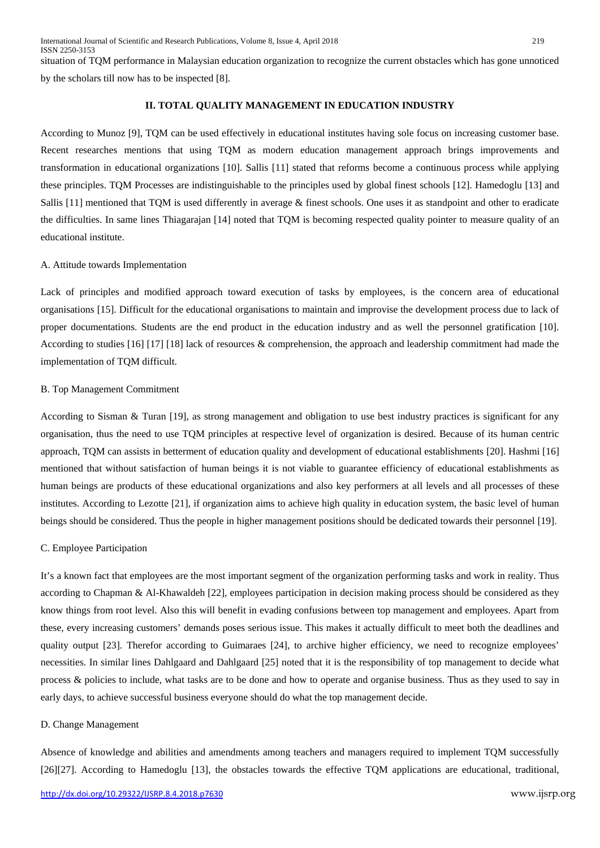situation of TQM performance in Malaysian education organization to recognize the current obstacles which has gone unnoticed by the scholars till now has to be inspected [8].

## **II. TOTAL QUALITY MANAGEMENT IN EDUCATION INDUSTRY**

According to Munoz [9], TQM can be used effectively in educational institutes having sole focus on increasing customer base. Recent researches mentions that using TQM as modern education management approach brings improvements and transformation in educational organizations [10]. Sallis [11] stated that reforms become a continuous process while applying these principles. TQM Processes are indistinguishable to the principles used by global finest schools [12]. Hamedoglu [13] and Sallis [11] mentioned that TQM is used differently in average & finest schools. One uses it as standpoint and other to eradicate the difficulties. In same lines Thiagarajan [14] noted that TQM is becoming respected quality pointer to measure quality of an educational institute.

## A. Attitude towards Implementation

Lack of principles and modified approach toward execution of tasks by employees, is the concern area of educational organisations [15]. Difficult for the educational organisations to maintain and improvise the development process due to lack of proper documentations. Students are the end product in the education industry and as well the personnel gratification [10]. According to studies [16] [17] [18] lack of resources & comprehension, the approach and leadership commitment had made the implementation of TQM difficult.

## B. Top Management Commitment

According to Sisman & Turan [19], as strong management and obligation to use best industry practices is significant for any organisation, thus the need to use TQM principles at respective level of organization is desired. Because of its human centric approach, TQM can assists in betterment of education quality and development of educational establishments [20]. Hashmi [16] mentioned that without satisfaction of human beings it is not viable to guarantee efficiency of educational establishments as human beings are products of these educational organizations and also key performers at all levels and all processes of these institutes. According to Lezotte [21], if organization aims to achieve high quality in education system, the basic level of human beings should be considered. Thus the people in higher management positions should be dedicated towards their personnel [19].

## C. Employee Participation

It's a known fact that employees are the most important segment of the organization performing tasks and work in reality. Thus according to Chapman & Al-Khawaldeh [22], employees participation in decision making process should be considered as they know things from root level. Also this will benefit in evading confusions between top management and employees. Apart from these, every increasing customers' demands poses serious issue. This makes it actually difficult to meet both the deadlines and quality output [23]. Therefor according to Guimaraes [24], to archive higher efficiency, we need to recognize employees' necessities. In similar lines Dahlgaard and Dahlgaard [25] noted that it is the responsibility of top management to decide what process & policies to include, what tasks are to be done and how to operate and organise business. Thus as they used to say in early days, to achieve successful business everyone should do what the top management decide.

#### D. Change Management

Absence of knowledge and abilities and amendments among teachers and managers required to implement TQM successfully [26][27]. According to Hamedoglu [13], the obstacles towards the effective TQM applications are educational, traditional,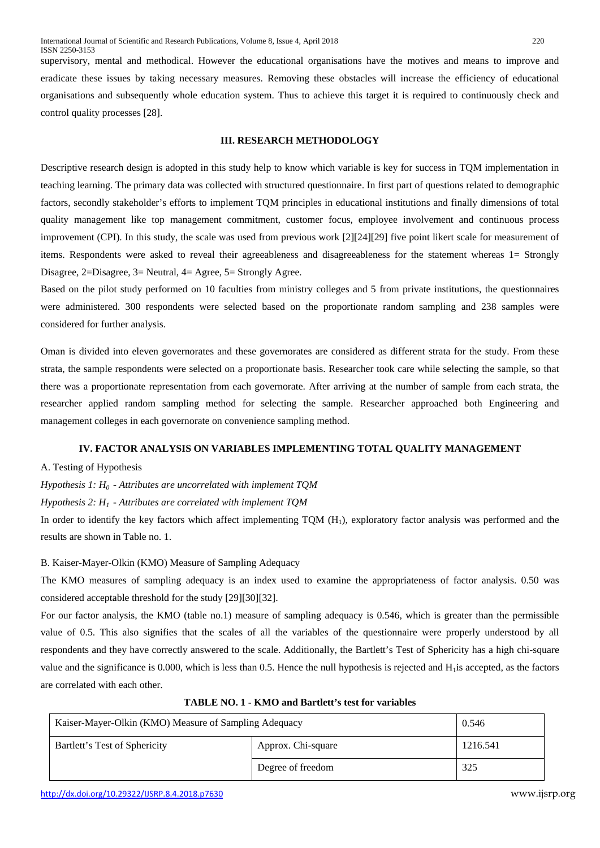supervisory, mental and methodical. However the educational organisations have the motives and means to improve and eradicate these issues by taking necessary measures. Removing these obstacles will increase the efficiency of educational organisations and subsequently whole education system. Thus to achieve this target it is required to continuously check and control quality processes [28].

## **III. RESEARCH METHODOLOGY**

Descriptive research design is adopted in this study help to know which variable is key for success in TQM implementation in teaching learning. The primary data was collected with structured questionnaire. In first part of questions related to demographic factors, secondly stakeholder's efforts to implement TQM principles in educational institutions and finally dimensions of total quality management like top management commitment, customer focus, employee involvement and continuous process improvement (CPI). In this study, the scale was used from previous work [2][24][29] five point likert scale for measurement of items. Respondents were asked to reveal their agreeableness and disagreeableness for the statement whereas 1= Strongly Disagree, 2=Disagree, 3= Neutral, 4= Agree, 5= Strongly Agree.

Based on the pilot study performed on 10 faculties from ministry colleges and 5 from private institutions, the questionnaires were administered. 300 respondents were selected based on the proportionate random sampling and 238 samples were considered for further analysis.

Oman is divided into eleven governorates and these governorates are considered as different strata for the study. From these strata, the sample respondents were selected on a proportionate basis. Researcher took care while selecting the sample, so that there was a proportionate representation from each governorate. After arriving at the number of sample from each strata, the researcher applied random sampling method for selecting the sample. Researcher approached both Engineering and management colleges in each governorate on convenience sampling method.

#### **IV. FACTOR ANALYSIS ON VARIABLES IMPLEMENTING TOTAL QUALITY MANAGEMENT**

A. Testing of Hypothesis

*Hypothesis 1: H0 - Attributes are uncorrelated with implement TQM* 

*Hypothesis 2: H1 - Attributes are correlated with implement TQM* 

In order to identify the key factors which affect implementing  $TQM(H_1)$ , exploratory factor analysis was performed and the results are shown in Table no. 1.

## B. Kaiser-Mayer-Olkin (KMO) Measure of Sampling Adequacy

The KMO measures of sampling adequacy is an index used to examine the appropriateness of factor analysis. 0.50 was considered acceptable threshold for the study [29][30][32].

For our factor analysis, the KMO (table no.1) measure of sampling adequacy is 0.546, which is greater than the permissible value of 0.5. This also signifies that the scales of all the variables of the questionnaire were properly understood by all respondents and they have correctly answered to the scale. Additionally, the Bartlett's Test of Sphericity has a high chi-square value and the significance is  $0.000$ , which is less than 0.5. Hence the null hypothesis is rejected and  $H<sub>1</sub>$  is accepted, as the factors are correlated with each other.

| Kaiser-Mayer-Olkin (KMO) Measure of Sampling Adequacy | 0.546              |          |
|-------------------------------------------------------|--------------------|----------|
| Bartlett's Test of Sphericity                         | Approx. Chi-square | 1216.541 |
|                                                       | Degree of freedom  | 325      |

**TABLE NO. 1 - KMO and Bartlett's test for variables**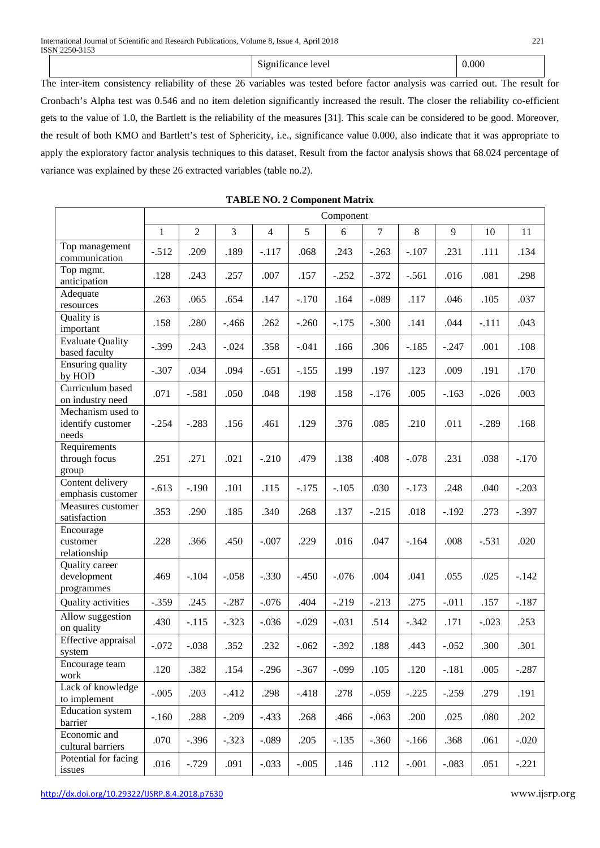|  | $\sim$<br>$\sim$<br>Significance level | 0.000 |
|--|----------------------------------------|-------|
|--|----------------------------------------|-------|

The inter-item consistency reliability of these 26 variables was tested before factor analysis was carried out. The result for Cronbach's Alpha test was 0.546 and no item deletion significantly increased the result. The closer the reliability co-efficient gets to the value of 1.0, the Bartlett is the reliability of the measures [31]. This scale can be considered to be good. Moreover, the result of both KMO and Bartlett's test of Sphericity, i.e., significance value 0.000, also indicate that it was appropriate to apply the exploratory factor analysis techniques to this dataset. Result from the factor analysis shows that 68.024 percentage of variance was explained by these 26 extracted variables (table no.2).

|                                                 | Component    |                |         |                |         |         |                |         |         |         |         |
|-------------------------------------------------|--------------|----------------|---------|----------------|---------|---------|----------------|---------|---------|---------|---------|
|                                                 | $\mathbf{1}$ | $\overline{2}$ | 3       | $\overline{4}$ | 5       | 6       | $\overline{7}$ | 8       | 9       | 10      | 11      |
| Top management<br>communication                 | $-.512$      | .209           | .189    | $-.117$        | .068    | .243    | $-.263$        | $-.107$ | .231    | .111    | .134    |
| Top mgmt.<br>anticipation                       | .128         | .243           | .257    | .007           | .157    | $-.252$ | $-.372$        | $-.561$ | .016    | .081    | .298    |
| Adequate<br>resources                           | .263         | .065           | .654    | .147           | $-.170$ | .164    | $-.089$        | .117    | .046    | .105    | .037    |
| Quality is<br>important                         | .158         | .280           | $-.466$ | .262           | $-.260$ | $-.175$ | $-.300$        | .141    | .044    | $-.111$ | .043    |
| <b>Evaluate Quality</b><br>based faculty        | $-.399$      | .243           | $-.024$ | .358           | $-.041$ | .166    | .306           | $-.185$ | $-.247$ | .001    | .108    |
| <b>Ensuring quality</b><br>by HOD               | $-.307$      | .034           | .094    | $-.651$        | $-.155$ | .199    | .197           | .123    | .009    | .191    | .170    |
| Curriculum based<br>on industry need            | .071         | $-.581$        | .050    | .048           | .198    | .158    | $-.176$        | .005    | $-.163$ | $-.026$ | .003    |
| Mechanism used to<br>identify customer<br>needs | $-.254$      | $-.283$        | .156    | .461           | .129    | .376    | .085           | .210    | .011    | $-.289$ | .168    |
| Requirements<br>through focus<br>group          | .251         | .271           | .021    | $-.210$        | .479    | .138    | .408           | $-.078$ | .231    | .038    | $-.170$ |
| Content delivery<br>emphasis customer           | $-.613$      | $-.190$        | .101    | .115           | $-.175$ | $-.105$ | .030           | $-.173$ | .248    | .040    | $-.203$ |
| Measures customer<br>satisfaction               | .353         | .290           | .185    | .340           | .268    | .137    | $-.215$        | .018    | $-.192$ | .273    | $-.397$ |
| Encourage<br>customer<br>relationship           | .228         | .366           | .450    | $-.007$        | .229    | .016    | .047           | $-.164$ | .008    | $-.531$ | .020    |
| Quality career<br>development<br>programmes     | .469         | $-.104$        | $-.058$ | $-.330$        | $-.450$ | $-.076$ | .004           | .041    | .055    | .025    | $-.142$ |
| Quality activities                              | $-.359$      | .245           | $-.287$ | $-.076$        | .404    | $-.219$ | $-.213$        | .275    | $-.011$ | .157    | $-.187$ |
| Allow suggestion<br>on quality                  | .430         | $-.115$        | $-.323$ | $-.036$        | $-.029$ | $-.031$ | .514           | $-.342$ | .171    | $-.023$ | .253    |
| Effective appraisal<br>system                   | $-.072$      | $-.038$        | .352    | .232           | $-.062$ | $-.392$ | .188           | .443    | $-.052$ | .300    | .301    |
| Encourage team<br>work                          | .120         | .382           | .154    | $-.296$        | $-.367$ | $-.099$ | .105           | .120    | $-.181$ | .005    | $-.287$ |
| Lack of knowledge<br>to implement               | $-.005$      | .203           | $-.412$ | .298           | $-.418$ | .278    | $-.059$        | $-.225$ | $-.259$ | .279    | .191    |
| <b>Education</b> system<br>barrier              | $-.160$      | .288           | $-.209$ | $-.433$        | .268    | .466    | $-.063$        | .200    | .025    | .080    | .202    |
| Economic and<br>cultural barriers               | .070         | $-.396$        | $-.323$ | $-.089$        | .205    | $-.135$ | $-.360$        | $-.166$ | .368    | .061    | $-.020$ |
| Potential for facing<br>issues                  | .016         | $-0.729$       | .091    | $-.033$        | $-.005$ | .146    | .112           | $-.001$ | $-.083$ | .051    | $-.221$ |

|  | <b>TABLE NO. 2 Component Matrix</b> |  |
|--|-------------------------------------|--|
|  |                                     |  |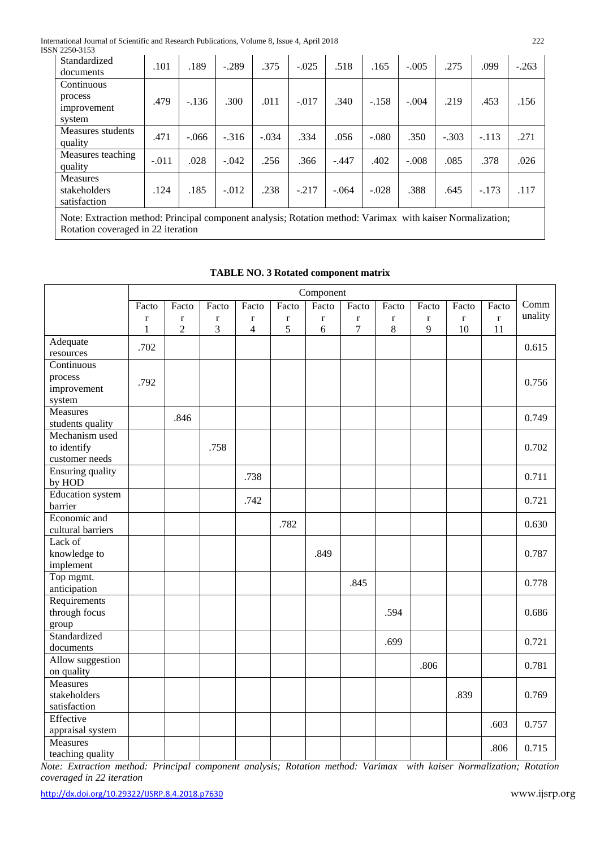International Journal of Scientific and Research Publications, Volume 8, Issue 4, April 2018 222 ISS

| SN 2250-3153                                                                                                                                     |         |         |         |         |         |         |         |         |         |         |         |
|--------------------------------------------------------------------------------------------------------------------------------------------------|---------|---------|---------|---------|---------|---------|---------|---------|---------|---------|---------|
| Standardized<br>documents                                                                                                                        | .101    | .189    | $-.289$ | .375    | $-.025$ | .518    | .165    | $-.005$ | .275    | .099    | $-.263$ |
| Continuous                                                                                                                                       |         |         |         |         |         |         |         |         |         |         |         |
| process<br>improvement<br>system                                                                                                                 | .479    | $-136$  | .300    | .011    | $-.017$ | .340    | $-.158$ | $-.004$ | .219    | .453    | .156    |
| Measures students<br>quality                                                                                                                     | .471    | $-.066$ | $-.316$ | $-.034$ | .334    | .056    | $-.080$ | .350    | $-.303$ | $-.113$ | .271    |
| Measures teaching<br>quality                                                                                                                     | $-.011$ | .028    | $-.042$ | .256    | .366    | $-.447$ | .402    | $-.008$ | .085    | .378    | .026    |
| Measures<br>stakeholders<br>satisfaction                                                                                                         | .124    | .185    | $-.012$ | .238    | $-.217$ | $-.064$ | $-.028$ | .388    | .645    | $-.173$ | .117    |
| Note: Extraction method: Principal component analysis; Rotation method: Varimax with kaiser Normalization;<br>Rotation coveraged in 22 iteration |         |         |         |         |         |         |         |         |         |         |         |

|                                    | Component   |                |             |                |             |             |                |         |         |             |         |         |
|------------------------------------|-------------|----------------|-------------|----------------|-------------|-------------|----------------|---------|---------|-------------|---------|---------|
|                                    | Facto       | Facto          | Facto       | Facto          | Facto       | Facto       | Facto          | Facto   | Facto   | Facto       | Facto   | Comm    |
|                                    | $\mathbf r$ | $\bf r$        | $\mathbf r$ | r              | $\mathbf r$ | $\mathbf r$ | $\mathbf r$    | $\bf r$ | $\bf r$ | $\mathbf r$ | $\bf r$ | unality |
|                                    | 1           | $\overline{c}$ | 3           | $\overline{4}$ | 5           | 6           | $\overline{7}$ | 8       | 9       | 10          | 11      |         |
| Adequate                           | .702        |                |             |                |             |             |                |         |         |             |         | 0.615   |
| resources                          |             |                |             |                |             |             |                |         |         |             |         |         |
| Continuous                         |             |                |             |                |             |             |                |         |         |             |         |         |
| process                            | .792        |                |             |                |             |             |                |         |         |             |         | 0.756   |
| improvement                        |             |                |             |                |             |             |                |         |         |             |         |         |
| system                             |             |                |             |                |             |             |                |         |         |             |         |         |
| <b>Measures</b>                    |             | .846           |             |                |             |             |                |         |         |             |         | 0.749   |
| students quality<br>Mechanism used |             |                |             |                |             |             |                |         |         |             |         |         |
| to identify                        |             |                | .758        |                |             |             |                |         |         |             |         | 0.702   |
| customer needs                     |             |                |             |                |             |             |                |         |         |             |         |         |
| Ensuring quality                   |             |                |             |                |             |             |                |         |         |             |         |         |
| by HOD                             |             |                |             | .738           |             |             |                |         |         |             |         | 0.711   |
| <b>Education</b> system            |             |                |             |                |             |             |                |         |         |             |         |         |
| barrier                            |             |                |             | .742           |             |             |                |         |         |             |         | 0.721   |
| Economic and                       |             |                |             |                | .782        |             |                |         |         |             |         | 0.630   |
| cultural barriers                  |             |                |             |                |             |             |                |         |         |             |         |         |
| Lack of                            |             |                |             |                |             |             |                |         |         |             |         |         |
| knowledge to                       |             |                |             |                |             | .849        |                |         |         |             |         | 0.787   |
| implement                          |             |                |             |                |             |             |                |         |         |             |         |         |
| Top mgmt.                          |             |                |             |                |             |             | .845           |         |         |             |         | 0.778   |
| anticipation                       |             |                |             |                |             |             |                |         |         |             |         |         |
| Requirements                       |             |                |             |                |             |             |                |         |         |             |         |         |
| through focus                      |             |                |             |                |             |             |                | .594    |         |             |         | 0.686   |
| group                              |             |                |             |                |             |             |                |         |         |             |         |         |
| Standardized                       |             |                |             |                |             |             |                | .699    |         |             |         | 0.721   |
| documents                          |             |                |             |                |             |             |                |         |         |             |         |         |
| Allow suggestion<br>on quality     |             |                |             |                |             |             |                |         | .806    |             |         | 0.781   |
| Measures                           |             |                |             |                |             |             |                |         |         |             |         |         |
| stakeholders                       |             |                |             |                |             |             |                |         |         | .839        |         | 0.769   |
| satisfaction                       |             |                |             |                |             |             |                |         |         |             |         |         |
| Effective                          |             |                |             |                |             |             |                |         |         |             |         |         |
| appraisal system                   |             |                |             |                |             |             |                |         |         |             | .603    | 0.757   |
| <b>Measures</b>                    |             |                |             |                |             |             |                |         |         |             |         |         |
| teaching quality                   |             |                |             |                |             |             |                |         |         |             | .806    | 0.715   |

# **TABLE NO. 3 Rotated component matrix**

*Note: Extraction method: Principal component analysis; Rotation method: Varimax with kaiser Normalization; Rotation coveraged in 22 iteration*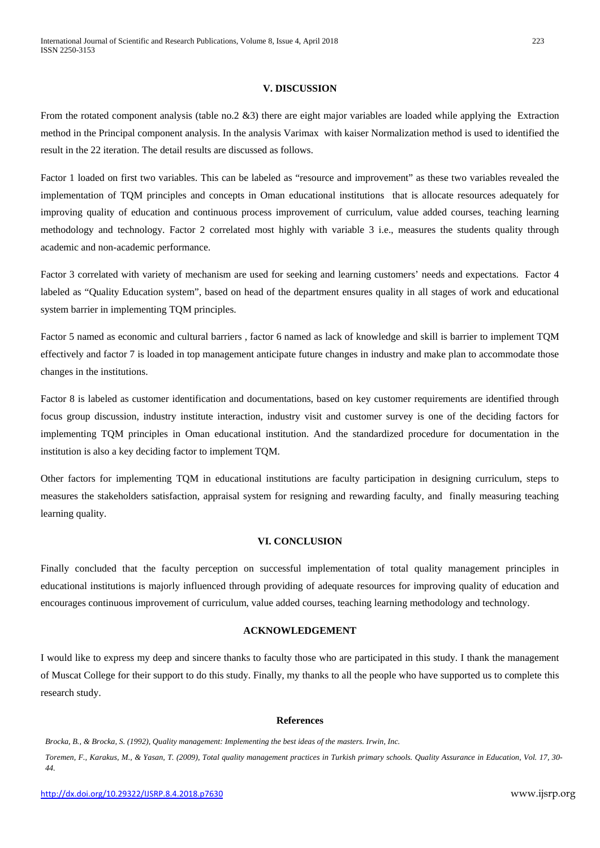## **V. DISCUSSION**

From the rotated component analysis (table no.2 &3) there are eight major variables are loaded while applying the Extraction method in the Principal component analysis. In the analysis Varimax with kaiser Normalization method is used to identified the result in the 22 iteration. The detail results are discussed as follows.

Factor 1 loaded on first two variables. This can be labeled as "resource and improvement" as these two variables revealed the implementation of TQM principles and concepts in Oman educational institutions that is allocate resources adequately for improving quality of education and continuous process improvement of curriculum, value added courses, teaching learning methodology and technology. Factor 2 correlated most highly with variable 3 i.e., measures the students quality through academic and non-academic performance.

Factor 3 correlated with variety of mechanism are used for seeking and learning customers' needs and expectations. Factor 4 labeled as "Quality Education system", based on head of the department ensures quality in all stages of work and educational system barrier in implementing TQM principles.

Factor 5 named as economic and cultural barriers , factor 6 named as lack of knowledge and skill is barrier to implement TQM effectively and factor 7 is loaded in top management anticipate future changes in industry and make plan to accommodate those changes in the institutions.

Factor 8 is labeled as customer identification and documentations, based on key customer requirements are identified through focus group discussion, industry institute interaction, industry visit and customer survey is one of the deciding factors for implementing TQM principles in Oman educational institution. And the standardized procedure for documentation in the institution is also a key deciding factor to implement TQM.

Other factors for implementing TQM in educational institutions are faculty participation in designing curriculum, steps to measures the stakeholders satisfaction, appraisal system for resigning and rewarding faculty, and finally measuring teaching learning quality.

## **VI. CONCLUSION**

Finally concluded that the faculty perception on successful implementation of total quality management principles in educational institutions is majorly influenced through providing of adequate resources for improving quality of education and encourages continuous improvement of curriculum, value added courses, teaching learning methodology and technology.

## **ACKNOWLEDGEMENT**

I would like to express my deep and sincere thanks to faculty those who are participated in this study. I thank the management of Muscat College for their support to do this study. Finally, my thanks to all the people who have supported us to complete this research study.

#### **References**

*Brocka, B., & Brocka, S. (1992), Quality management: Implementing the best ideas of the masters. Irwin, Inc.*

*Toremen, F., Karakus, M., & Yasan, T. (2009), Total quality management practices in Turkish primary schools. Quality Assurance in Education, Vol. 17, 30- 44.*